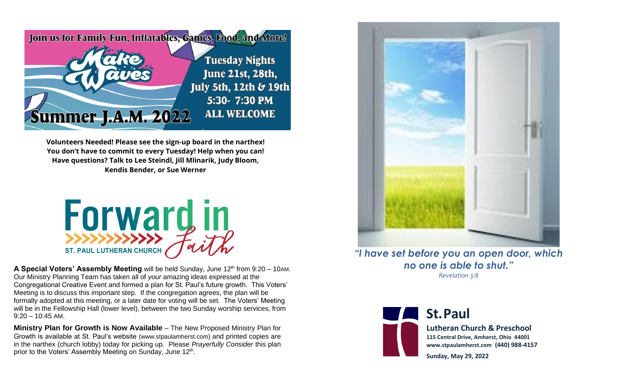

**Volunteers Needed! Please see the sign-up board in the narthex! You don't have to commit to every Tuesday! Help when you can! Have questions? Talk to Lee Steindl, Jill Mlinarik, Judy Bloom, Kendis Bender, or Sue Werner**



**A Special Voters' Assembly Meeting** will be held Sunday, June 12<sup>th</sup> from 9:20 – 10AM. Our Ministry Planning Team has taken all of *your* amazing ideas expressed at the Congregational Creative Event and formed a plan for St. Paul's future growth. This Voters' Meeting is to discuss this important step. If the congregation agrees, the plan will be formally adopted at this meeting, or a later date for voting will be set. The Voters' Meeting will be in the Fellowship Hall (lower level), between the two Sunday worship services, from 9:20 – 10:45 AM.

**Ministry Plan for Growth is Now Available** – The New Proposed Ministry Plan for Growth is available at St. Paul's website (www.stpaulamherst.com) and printed copies are in the narthex (church lobby) today for picking up. Please *Prayerfully Consider* this plan prior to the Voters' Assembly Meeting on Sunday, June 12<sup>th</sup>.



*"I have set before you an open door, which no one is able to shut." Revelation 3:8*



## **St.Paul**

**Lutheran Church & Preschool 115 Central Drive, Amherst, Ohio 44001 www.stpaulamherst.com (440) 988-4157**

**Sunday, May 29, 2022**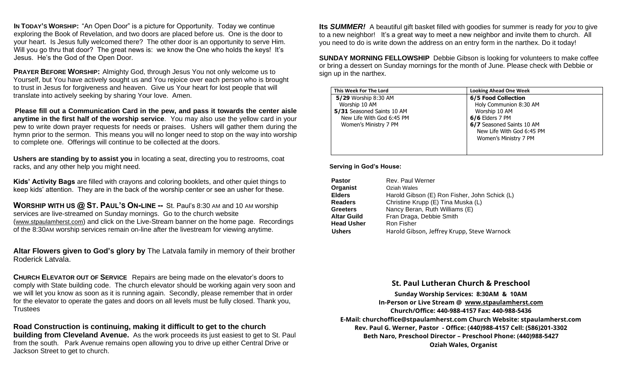**IN TODAY'S WORSHIP:** "An Open Door" is a picture for Opportunity. Today we continue exploring the Book of Revelation, and two doors are placed before us. One is the door to your heart. Is Jesus fully welcomed there? The other door is an opportunity to serve Him. Will you go thru that door? The great news is: we know the One who holds the keys! It's Jesus. He's the God of the Open Door.

**PRAYER BEFORE WORSHIP:** Almighty God, through Jesus You not only welcome us to Yourself, but You have actively sought us and You rejoice over each person who is brought to trust in Jesus for forgiveness and heaven. Give us Your heart for lost people that will translate into actively seeking by sharing Your love. Amen.

**Please fill out a Communication Card in the pew, and pass it towards the center aisle anytime in the first half of the worship service**. You may also use the yellow card in your pew to write down prayer requests for needs or praises. Ushers will gather them during the hymn prior to the sermon. This means you will no longer need to stop on the way into worship to complete one. Offerings will continue to be collected at the doors.

**Ushers are standing by to assist you** in locating a seat, directing you to restrooms, coat racks, and any other help you might need.

**Kids' Activity Bags** are filled with crayons and coloring booklets, and other quiet things to keep kids' attention. They are in the back of the worship center or see an usher for these.

**WORSHIP WITH US @ ST. PAUL'S ON-LINE --** St. Paul's 8:30 AM and 10 AM worship services are live-streamed on Sunday mornings. Go to the church website (www.stpaulamherst.com) and click on the Live-Stream banner on the home page. Recordings of the 8:30AM worship services remain on-line after the livestream for viewing anytime.

**Altar Flowers given to God's glory by** The Latvala family in memory of their brother Roderick Latvala.

**CHURCH ELEVATOR OUT OF SERVICE** Repairs are being made on the elevator's doors to comply with State building code. The church elevator should be working again very soon and we will let you know as soon as it is running again. Secondly, please remember that in order for the elevator to operate the gates and doors on all levels must be fully closed. Thank you, Trustees

**Road Construction is continuing, making it difficult to get to the church building from Cleveland Avenue.** As the work proceeds its just easiest to get to St. Paul from the south. Park Avenue remains open allowing you to drive up either Central Drive or Jackson Street to get to church.

**Its** *SUMMER!* A beautiful gift basket filled with goodies for summer is ready for *you* to give to a new neighbor! It's a great way to meet a new neighbor and invite them to church. All you need to do is write down the address on an entry form in the narthex. Do it today!

**SUNDAY MORNING FELLOWSHIP** Debbie Gibson is looking for volunteers to make coffee or bring a dessert on Sunday mornings for the month of June. Please check with Debbie or sign up in the narthex.

| This Week For The Lord     | <b>Looking Ahead One Week</b> |
|----------------------------|-------------------------------|
| 5/29 Worship 8:30 AM       | <b>6/5 Food Collection</b>    |
| Worship 10 AM              | Holy Communion 8:30 AM        |
| 5/31 Seasoned Saints 10 AM | Worship 10 AM                 |
| New Life With God 6:45 PM  | $6/6$ Elders 7 PM             |
| Women's Ministry 7 PM      | 6/7 Seasoned Saints 10 AM     |
|                            | New Life With God 6:45 PM     |
|                            | Women's Ministry 7 PM         |
|                            |                               |
|                            |                               |

## **Serving in God's House:**

| Rev. Paul Werner                              |
|-----------------------------------------------|
| Oziah Wales                                   |
| Harold Gibson (E) Ron Fisher, John Schick (L) |
| Christine Krupp (E) Tina Muska (L)            |
| Nancy Beran, Ruth Williams (E)                |
| Fran Draga, Debbie Smith                      |
| Ron Fisher                                    |
| Harold Gibson, Jeffrey Krupp, Steve Warnock   |
|                                               |

## **St. Paul Lutheran Church & Preschool**

**Sunday Worship Services: 8:30**AM **& 10**AM **In-Person or Live Stream** @ [www.stpaulamherst.com](http://www.stpaulamherst.com/) **Church/Office: 440-988-4157 Fax: 440-988-5436 E-Mail: churchoffice@stpaulamherst.com Church Website: stpaulamherst.com Rev. Paul G. Werner, Pastor - Office: (440)988-4157 Cell: (586)201-3302 Beth Naro, Preschool Director – Preschool Phone: (440)988-5427 Oziah Wales, Organist**